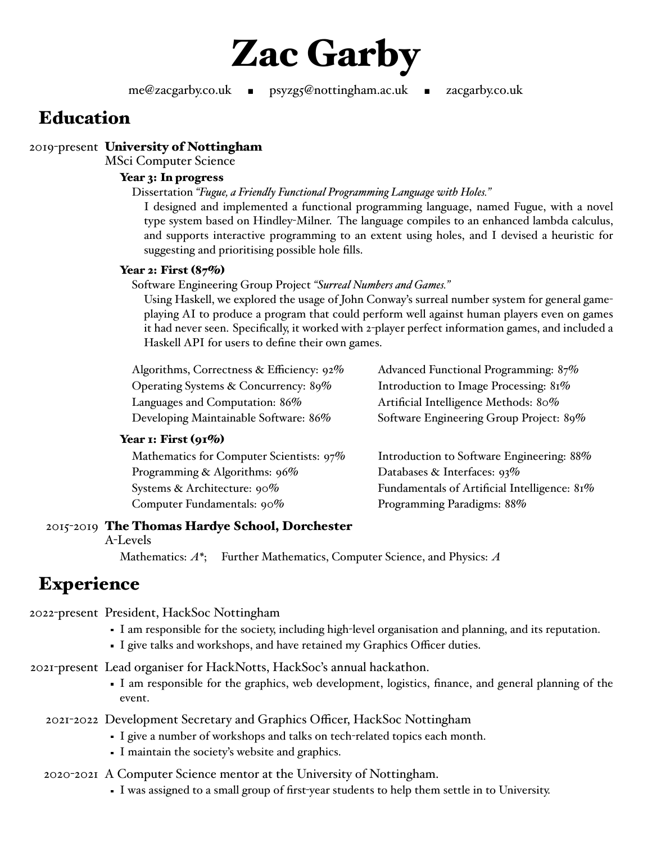

me@zacgarby.co.uk ■ psyzg5@nottingham.ac.uk ■ zacgarby.co.uk

# **Education**

## 2019-present **University of Nottingham**

MSci Computer Science

#### **Year 3: In progress**

Dissertation *"Fugue, a Friendly Functional Programming Language with Holes."*

I designed and implemented a functional programming language, named Fugue, with a novel type system based on Hindley-Milner. The language compiles to an enhanced lambda calculus, and supports interactive programming to an extent using holes, and I devised a heuristic for suggesting and prioritising possible hole fills.

#### **Year 2: First (87%)**

Software Engineering Group Project *"Surreal Numbers and Games."*

Using Haskell, we explored the usage of John Conway's surreal number system for general gameplaying AI to produce a program that could perform well against human players even on games it had never seen. Specifically, it worked with 2-player perfect information games, and included a Haskell API for users to define their own games.

| Advanced Functional Programming: 87%    |
|-----------------------------------------|
| Introduction to Image Processing: 81%   |
| Artificial Intelligence Methods: 80%    |
| Software Engineering Group Project: 89% |
|                                         |

#### **Year 1: First (91%)**

| Mathematics for Computer Scientists: 97% |
|------------------------------------------|
| Programming & Algorithms: 96%            |
| Systems & Architecture: 90%              |
| Computer Fundamentals: 90%               |

Introduction to Software Engineering: 88% Databases & Interfaces: 93% Fundamentals of Artificial Intelligence: 81% Programming Paradigms: 88%

## 2015-2019 **The Thomas Hardye School, Dorchester**

#### A-Levels

Mathematics: *A\**; Further Mathematics, Computer Science, and Physics: *A*

# **Experience**

2022-present President, HackSoc Nottingham

- I am responsible for the society, including high-level organisation and planning, and its reputation.
- I give talks and workshops, and have retained my Graphics Officer duties.

2021-present Lead organiser for HackNotts, HackSoc's annual hackathon.

I am responsible for the graphics, web development, logistics, finance, and general planning of the event.

2021-2022 Development Secretary and Graphics Officer, HackSoc Nottingham

- I give a number of workshops and talks on tech-related topics each month.
- I maintain the society's website and graphics.

## 2020-2021 A Computer Science mentor at the University of Nottingham.

I was assigned to a small group of first-year students to help them settle in to University.